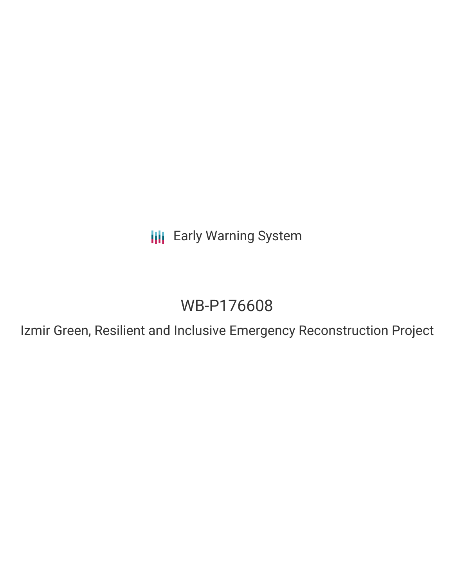**III** Early Warning System

# WB-P176608

Izmir Green, Resilient and Inclusive Emergency Reconstruction Project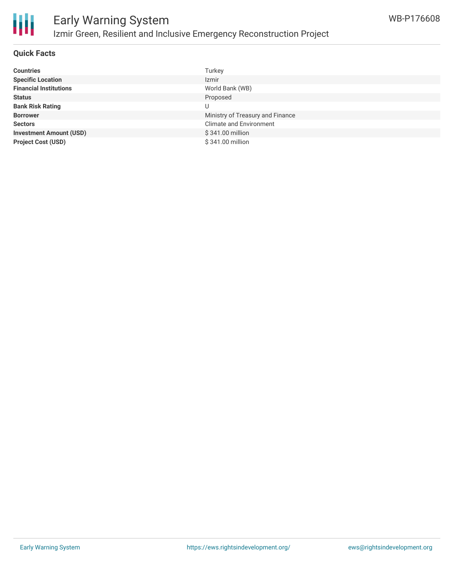

# Early Warning System Izmir Green, Resilient and Inclusive Emergency Reconstruction Project

### **Quick Facts**

| <b>Countries</b>               | Turkey                           |
|--------------------------------|----------------------------------|
| <b>Specific Location</b>       | Izmir                            |
| <b>Financial Institutions</b>  | World Bank (WB)                  |
| <b>Status</b>                  | Proposed                         |
| <b>Bank Risk Rating</b>        | U                                |
| <b>Borrower</b>                | Ministry of Treasury and Finance |
| <b>Sectors</b>                 | <b>Climate and Environment</b>   |
| <b>Investment Amount (USD)</b> | \$341.00 million                 |
| <b>Project Cost (USD)</b>      | \$341.00 million                 |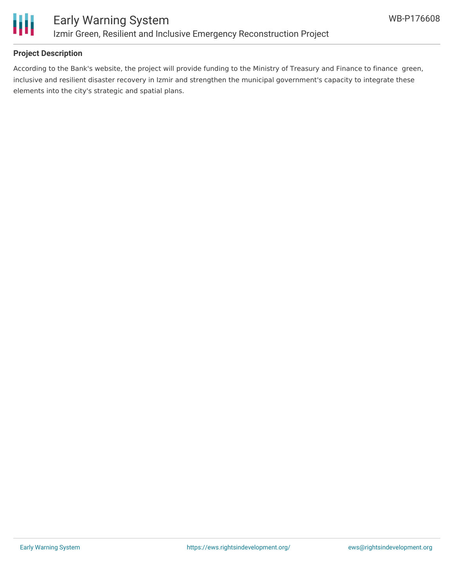

### **Project Description**

According to the Bank's website, the project will provide funding to the Ministry of Treasury and Finance to finance green, inclusive and resilient disaster recovery in Izmir and strengthen the municipal government's capacity to integrate these elements into the city's strategic and spatial plans.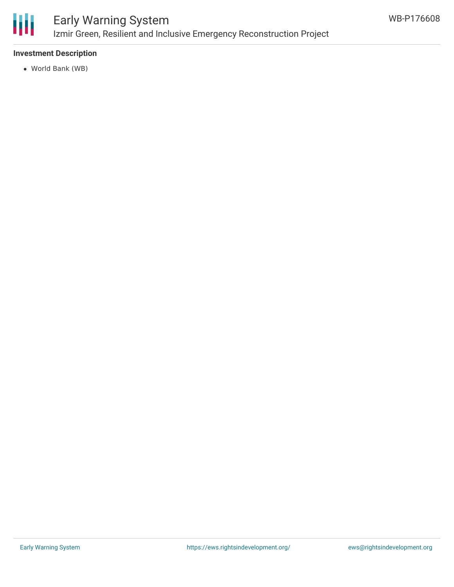

# Early Warning System Izmir Green, Resilient and Inclusive Emergency Reconstruction Project

### **Investment Description**

World Bank (WB)